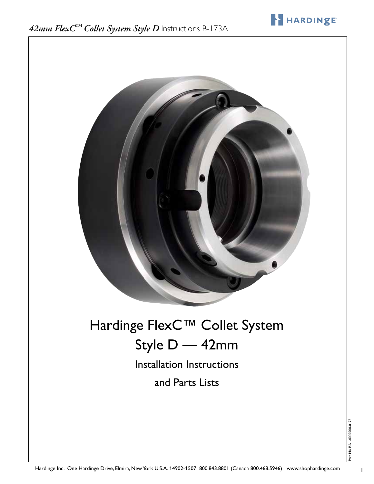

HARDINGE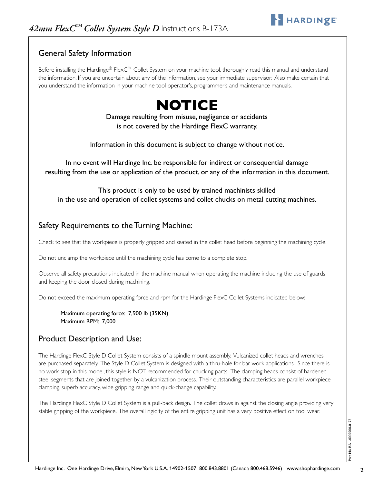## General Safety Information

Before installing the Hardinge® FlexC™ Collet System on your machine tool, thoroughly read this manual and understand the information. If you are uncertain about any of the information, see your immediate supervisor. Also make certain that you understand the information in your machine tool operator's, programmer's and maintenance manuals.

# **NOTICE**

Damage resulting from misuse, negligence or accidents is not covered by the Hardinge FlexC warranty.

Information in this document is subject to change without notice.

In no event will Hardinge Inc. be responsible for indirect or consequential damage resulting from the use or application of the product, or any of the information in this document.

This product is only to be used by trained machinists skilled in the use and operation of collet systems and collet chucks on metal cutting machines.

#### Safety Requirements to the Turning Machine:

Check to see that the workpiece is properly gripped and seated in the collet head before beginning the machining cycle.

Do not unclamp the workpiece until the machining cycle has come to a complete stop.

Observe all safety precautions indicated in the machine manual when operating the machine including the use of guards and keeping the door closed during machining.

Do not exceed the maximum operating force and rpm for the Hardinge FlexC Collet Systems indicated below:

Maximum operating force: 7,900 lb (35KN) Maximum RPM: 7,000

### Product Description and Use:

The Hardinge FlexC Style D Collet System consists of a spindle mount assembly. Vulcanized collet heads and wrenches are purchased separately. The Style D Collet System is designed with a thru-hole for bar work applications. Since there is no work stop in this model, this style is NOT recommended for chucking parts. The clamping heads consist of hardened steel segments that are joined together by a vulcanization process. Their outstanding characteristics are parallel workpiece clamping, superb accuracy, wide gripping range and quick-change capability.

The Hardinge FlexC Style D Collet System is a pull-back design. The collet draws in against the closing angle providing very stable gripping of the workpiece. The overall rigidity of the entire gripping unit has a very positive effect on tool wear.

HARDINGE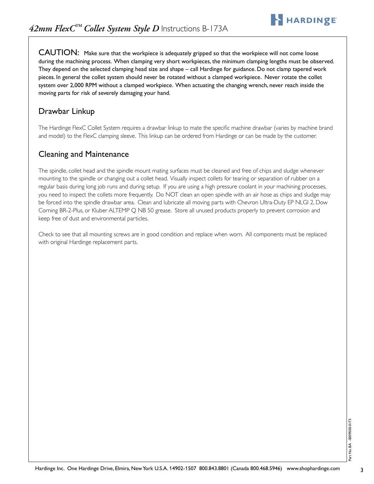CAUTION: Make sure that the workpiece is adequately gripped so that the workpiece will not come loose during the machining process. When clamping very short workpieces, the minimum clamping lengths must be observed. They depend on the selected clamping head size and shape – call Hardinge for guidance. Do not clamp tapered work pieces. In general the collet system should never be rotated without a clamped workpiece. Never rotate the collet system over 2,000 RPM without a clamped workpiece. When actuating the changing wrench, never reach inside the moving parts for risk of severely damaging your hand.

## Drawbar Linkup

The Hardinge FlexC Collet System requires a drawbar linkup to mate the specific machine drawbar (varies by machine brand and model) to the FlexC clamping sleeve. This linkup can be ordered from Hardinge or can be made by the customer.

## Cleaning and Maintenance

The spindle, collet head and the spindle mount mating surfaces must be cleaned and free of chips and sludge whenever mounting to the spindle or changing out a collet head. Visually inspect collets for tearing or separation of rubber on a regular basis during long job runs and during setup. If you are using a high pressure coolant in your machining processes, you need to inspect the collets more frequently. Do NOT clean an open spindle with an air hose as chips and sludge may be forced into the spindle drawbar area. Clean and lubricate all moving parts with Chevron Ultra-Duty EP NLGI 2, Dow Corning BR-2-Plus, or Kluber ALTEMP Q NB 50 grease. Store all unused products properly to prevent corrosion and keep free of dust and environmental particles.

Check to see that all mounting screws are in good condition and replace when worn. All components must be replaced with original Hardinge replacement parts.

HARDINGE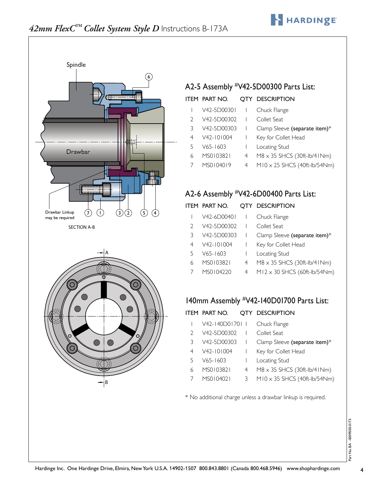

## *42mm FlexC™ Collet System Style D* Instructions B-173A



## A2-5 Assembly #V42-5D00300 Parts List:

#### ITEM PART NO. QTY DESCRIPTION

|    | V42-5D00301   Chuck Flange |                                             |
|----|----------------------------|---------------------------------------------|
|    | V42-5D00302   Collet Seat  |                                             |
| 3  |                            | V42-5D00303   Clamp Sleeve (separate item)* |
|    | 4 V42-101004 1             | Key for Collet Head                         |
| 5. | V65-1603                   | Locating Stud                               |
|    | MS0103821                  | 4 M8 x 35 SHCS (30ft-lb/41Nm)               |

7 MS0104019 4 M10 x 25 SHCS (40ft-lb/54Nm)

## A2-6 Assembly #V42-6D00400 Parts List:

## B ITEM PART NO. QTY DESCRIPTION

|               | $V42-6D00401$ |   | Chuck Flange                        |
|---------------|---------------|---|-------------------------------------|
| $\mathcal{L}$ | V42-5D00302   |   | Collet Seat                         |
| 3             | V42-5D00303   |   | Clamp Sleeve (separate item)*       |
| 4             | V42-101004    |   | Key for Collet Head                 |
| 5             | $V65 - 1603$  |   | Locating Stud                       |
| 6             | MS0103821     | 4 | $M8 \times 35$ SHCS (30ft-lb/41Nm)  |
|               | MS0104220     | 4 | $M12 \times 30$ SHCS (60ft-lb/54Nm) |

## 140mm Assembly #V42-140D01700 Parts List:

|   | ITEM PART NO.   |                          | OTY DESCRIPTION                     |
|---|-----------------|--------------------------|-------------------------------------|
|   | V42-140D01701 1 |                          | Chuck Flange                        |
|   | V42-5D00302     | $\overline{\phantom{a}}$ | Collet Seat                         |
| 3 | V42-5D00303     |                          | Clamp Sleeve (separate item)*       |
| 4 | $V42 - 101004$  |                          | Key for Collet Head                 |
| 5 | $V65 - 1603$    |                          | Locating Stud                       |
|   | MS0103821       | 4                        | $M8 \times 35$ SHCS (30ft-lb/41Nm)  |
|   | MS0104021       | 3                        | $M10 \times 35$ SHCS (40ft-lb/54Nm) |

\* No additional charge unless a drawbar linkup is required.